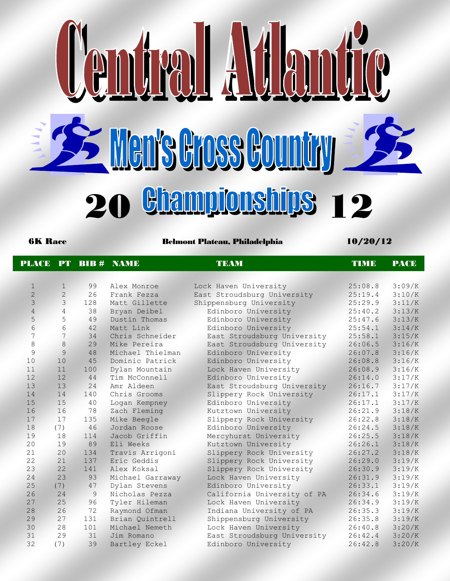

6K Race Belmont Plateau, Philadelphia 10/20/12

|                |                |     | <b>PLACE PT BIB # NAME</b> | <b>TEAM</b>                 | <b>TIMB</b> | <b>PACE</b> |
|----------------|----------------|-----|----------------------------|-----------------------------|-------------|-------------|
|                |                |     |                            |                             |             |             |
| $\mathbf 1$    | $\mathbf{1}$   | 99  | Alex Monroe                | Lock Haven University       | 25:08.8     | 3:09/K      |
| $\overline{2}$ | $\overline{2}$ | 26  | Frank Fezza                | East Stroudsburg University | 25:19.4     | 3:10/K      |
| 3              | $\overline{3}$ | 128 | Matt Gillette              | Shippensburg University     | 25:29.9     | 3:11/K      |
| $\overline{4}$ | $\overline{4}$ | 38  | Bryan Deibel               | Edinboro University         | 25:40.2     | 3:13/K      |
| 5              | 5              | 49  | Dustin Thomas              | Edinboro University         | 25:47.6     | 3:13/K      |
| 6              | 6              | 42  | Matt Link                  | Edinboro University         | 25:54.1     | 3:14/K      |
| 7              | $\overline{7}$ | 34  | Chris Schneider            | East Stroudsburg University | 25:58.1     | 3:15/K      |
| 8              | 8              | 29  | Mike Pereira               | East Stroudsburg University | 26:06.5     | 3:16/K      |
| $\mathsf{Q}$   | 9              | 48  | Michael Thielman           | Edinboro University         | 26:07.8     | 3:16/K      |
| 10             | 10             | 45  | Dominic Patrick            | Edinboro University         | 26:08.8     | 3:16/K      |
| 11             | 11             | 100 | Dylan Mountain             | Lock Haven University       | 26:08.9     | 3:16/K      |
| 12             | 12             | 44  | Tim McConnell              | Edinboro University         | 26:14.0     | 3:17/K      |
| 13             | 13             | 24  | Amr Aldeen                 | East Stroudsburg University | 26:16.7     | 3:17/K      |
| 14             | 14             | 140 | Chris Grooms               | Slippery Rock University    | 26:17.1     | 3:17/K      |
| 15             | 15             | 40  | Logan Kempney              | Edinboro University         | 26:17.1     | 3:17/K      |
| 16             | 16             | 78  | Zach Fleming               | Kutztown University         | 26:21.9     | 3:18/K      |
| 17             | 17             | 135 | Mike Beegle                | Slippery Rock University    | 26:22.8     | 3:18/K      |
| 18             | (7)            | 46  | Jordan Roose               | Edinboro University         | 26:24.5     | 3:18/K      |
| 19             | 18             | 114 | Jacob Griffin              | Mercyhurst University       | 26:25.5     | 3:18/K      |
| 20             | 19             | 89  | Eli Weeks                  | Kutztown University         | 26:26.1     | 3:18/K      |
| 21             | 20             | 134 | Travis Arrigoni            | Slippery Rock University    | 26:27.2     | 3:18/K      |
| 22             | 21             | 137 | Eric Geddis                | Slippery Rock University    | 26:29.0     | 3:19/K      |
| 23             | 22             | 141 | Alex Koksal                | Slippery Rock University    | 26:30.9     | 3:19/K      |
| 24             | 23             | 93  | Michael Garraway           | Lock Haven University       | 26:31.9     | 3:19/K      |
| 25             | (7)            | 47  | Dylan Stevens              | Edinboro University         | 26:33.1     | 3:19/K      |
| 26             | 24             | 9   | Nicholas Pezza             | California University of PA | 26:34.6     | 3:19/K      |
| 27             | 25             | 96  | Tyler Hileman              | Lock Haven University       | 26:34.9     | 3:19/K      |
| 28             | 26             | 72  | Raymond Ofman              | Indiana University of PA    | 26:35.3     | 3:19/K      |
| 29             | 27             | 131 | Brian Quintrell            | Shippensburg University     | 26:35.8     | 3:19/K      |
| 30             | 28             | 101 | Michael Nemeth             | Lock Haven University       | 26:40.8     | 3:20/K      |
| 31             | 29             | 31  | Jim Romano                 | East Stroudsburg University | 26:42.4     | 3:20/K      |
| 32             | (7)            | 39  | Bartley Eckel              | Edinboro University         | 26:42.8     | 3:20/K      |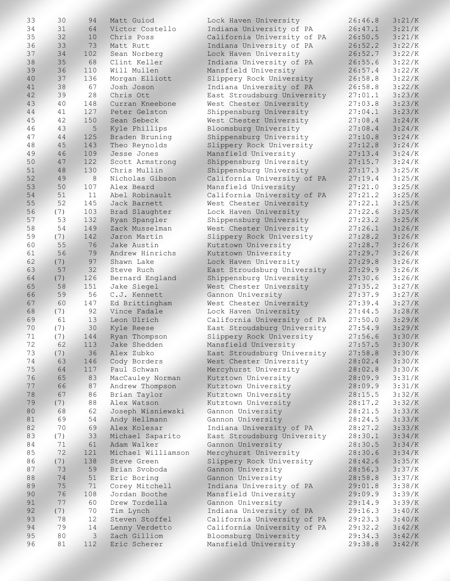| 33 | 30  | 94            | Matt Guiod         | Lock Haven University       | 26:46.8 | 3:21/K |
|----|-----|---------------|--------------------|-----------------------------|---------|--------|
| 34 | 31  | 64            | Victor Costello    | Indiana University of PA    | 26:47.1 | 3:21/K |
| 35 | 32  | 10            | Chris Poss         | California University of PA | 26:50.5 | 3:21/K |
| 36 | 33  | 73            | Matt Rutt          | Indiana University of PA    | 26:52.2 | 3:22/K |
| 37 | 34  | 102           | Sean Norberg       | Lock Haven University       | 26:52.7 | 3:22/K |
| 38 | 35  | 68            | Clint Keller       | Indiana University of PA    | 26:55.6 | 3:22/K |
| 39 | 36  | 110           | Will Mullen        | Mansfield University        | 26:57.4 | 3:22/K |
| 40 | 37  | 136           | Morgan Elliott     | Slippery Rock University    | 26:58.8 | 3:22/K |
| 41 | 38  | 67            | Josh Joson         | Indiana University of PA    | 26:58.8 | 3:22/K |
| 42 | 39  | 28            | Chris Ott          | East Stroudsburg University | 27:01.1 | 3:23/K |
| 43 | 40  | 148           | Curran Kneebone    | West Chester University     | 27:03.8 | 3:23/K |
| 44 | 41  | 127           | Peter Gelston      | Shippensburg University     | 27:04.1 | 3:23/K |
| 45 | 42  | 150           | Sean Sebeck        | West Chester University     | 27:08.4 | 3:24/K |
| 46 | 43  | 5             | Kyle Phillips      | Bloomsburg University       | 27:08.4 | 3:24/K |
| 47 | 44  | 125           | Braden Bruning     | Shippensburg University     | 27:10.8 | 3:24/K |
| 48 | 45  | 143           | Theo Reynolds      | Slippery Rock University    | 27:12.8 | 3:24/K |
| 49 | 46  | 109           | Jesse Jones        | Mansfield University        | 27:13.4 | 3:24/K |
| 50 | 47  | 122           |                    | Shippensburg University     |         | 3:24/K |
|    |     |               | Scott Armstrong    |                             | 27:15.7 |        |
| 51 | 48  | 130           | Chris Mullin       | Shippensburg University     | 27:17.3 | 3:25/K |
| 52 | 49  | $\,8\,$       | Nicholas Gibson    | California University of PA | 27:19.4 | 3:25/K |
| 53 | 50  | 107           | Alex Beard         | Mansfield University        | 27:21.0 | 3:25/K |
| 54 | 51  | 11            | Abel Robinault     | California University of PA | 27:21.2 | 3:25/K |
| 55 | 52  | 145           | Jack Barnett       | West Chester University     | 27:22.1 | 3:25/K |
| 56 | (7) | 103           | Brad Slaughter     | Lock Haven University       | 27:22.6 | 3:25/K |
| 57 | 53  | 132           | Ryan Spangler      | Shippensburg University     | 27:23.2 | 3:25/K |
| 58 | 54  | 149           | Zack Musselman     | West Chester University     | 27:26.1 | 3:26/K |
| 59 | (7) | 142           | Jaron Martin       | Slippery Rock University    | 27:28.2 | 3:26/K |
| 60 | 55  | 76            | Jake Austin        | Kutztown University         | 27:28.7 | 3:26/K |
| 61 | 56  | 79            | Andrew Hinrichs    | Kutztown University         | 27:29.7 | 3:26/K |
| 62 | (7) | 97            | Shawn Lake         | Lock Haven University       | 27:29.8 | 3:26/K |
| 63 | 57  | 32            | Steve Ruch         | East Stroudsburg University | 27:29.9 | 3:26/K |
| 64 | (7) | 126           | Bernard England    | Shippensburg University     | 27:30.6 | 3:26/K |
| 65 | 58  | 151           | Jake Siegel        | West Chester University     | 27:35.2 | 3:27/K |
| 66 | 59  | 56            | C.J. Kennett       | Gannon University           | 27:37.9 | 3:27/K |
| 67 | 60  | 147           | Ed Brittingham     | West Chester University     | 27:39.4 | 3:27/K |
| 68 | (7) | 92            | Vince Fadale       | Lock Haven University       | 27:44.5 | 3:28/K |
| 69 | 61  | 13            | Leon Ulrich        | California University of PA | 27:50.0 | 3:29/K |
| 70 | (7) | 30            | Kyle Reese         | East Stroudsburg University | 27:54.9 | 3:29/K |
| 71 | (7) | 144           | Ryan Thompson      | Slippery Rock University    | 27:56.6 | 3:30/K |
| 72 | 62  | 113           | Jake Shedden       | Mansfield University        | 27:57.5 | 3:30/K |
| 73 | (7) | 36            | Alex Zubko         | East Stroudsburg University | 27:58.8 | 3:30/K |
| 74 | 63  | 146           | Cody Borders       | West Chester University     | 28:02.4 | 3:30/K |
| 75 | 64  | 117           | Paul Schwan        | Mercyhurst University       | 28:02.8 | 3:30/K |
| 76 | 65  | 83            | MacCauley Norman   | Kutztown University         | 28:09.9 | 3:31/K |
| 77 | 66  | 87            | Andrew Thompson    | Kutztown University         | 28:09.9 | 3:31/K |
| 78 | 67  | 86            | Brian Taylor       | Kutztown University         | 28:15.5 | 3:32/K |
| 79 | (7) | 88            | Alex Watson        | Kutztown University         | 28:17.2 | 3:32/K |
| 80 | 68  | 62            | Joseph Wisniewski  | Gannon University           | 28:21.5 | 3:33/K |
| 81 | 69  | 54            | Andy Hellmann      | Gannon University           | 28:24.5 | 3:33/K |
| 82 | 70  | 69            | Alex Kolesar       | Indiana University of PA    | 28:27.2 | 3:33/K |
| 83 | (7) | 33            | Michael Saparito   | East Stroudsburg University | 28:30.1 | 3:34/K |
| 84 | 71  | 61            | Adam Walker        | Gannon University           | 28:30.5 | 3:34/K |
| 85 | 72  | 121           | Michael Williamson | Mercyhurst University       | 28:30.6 | 3:34/K |
| 86 | (7) | 138           | Steve Green        | Slippery Rock University    | 28:42.6 | 3:35/K |
| 87 | 73  | 59            | Brian Svoboda      | Gannon University           | 28:56.3 | 3:37/K |
| 88 | 74  | 51            | Eric Boring        | Gannon University           | 28:58.8 | 3:37/K |
| 89 | 75  | 71            | Corey Mitchell     | Indiana University of PA    | 29:01.8 | 3:38/K |
| 90 | 76  | 108           | Jordan Boothe      | Mansfield University        | 29:09.9 | 3:39/K |
| 91 | 77  | 60            | Drew Tordella      | Gannon University           | 29:14.9 | 3:39/K |
| 92 | (7) | 70            | Tim Lynch          | Indiana University of PA    | 29:16.3 | 3:40/K |
| 93 | 78  | 12            | Steven Stoffel     | California University of PA | 29:23.3 | 3:40/K |
| 94 | 79  | 14            | Lenny Verdetto     | California University of PA | 29:32.2 | 3:42/K |
| 95 | 80  | $\mathcal{E}$ | Zach Gilliom       | Bloomsburg University       | 29:34.3 | 3:42/K |
| 96 | 81  | 112           | Eric Scherer       | Mansfield University        | 29:38.8 | 3:42/K |
|    |     |               |                    |                             |         |        |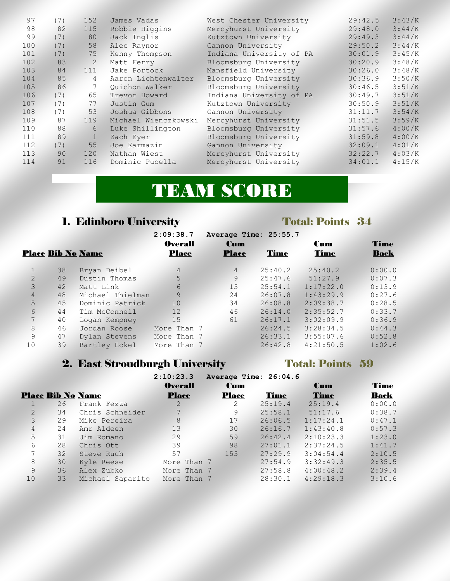| (7) | 152            | James Vadas          | West Chester University  | 29:42.5               | 3:43/K |
|-----|----------------|----------------------|--------------------------|-----------------------|--------|
| 82  | 115            | Robbie Higgins       | Mercyhurst University    | 29:48.0               | 3:44/K |
| (7) | 80             | Jack Inglis          | Kutztown University      | 29:49.3               | 3:44/K |
| (7) | 58             | Alec Raynor          | Gannon University        | 29:50.2               | 3:44/K |
| (7) | 75             | Kenny Thompson       | Indiana University of PA | 30:01.9               | 3:45/K |
| 83  | 2              | Matt Ferry           | Bloomsburg University    | 30:20.9               | 3:48/K |
| 84  | 111            | Jake Portock         | Mansfield University     | 30:26.0               | 3:48/K |
| 85  | $\overline{4}$ | Aaron Lichtenwalter  | Bloomsburg University    | 30:36.9               | 3:50/K |
| 86  |                | Ouichon Walker       | Bloomsburg University    | 30:46.5               | 3:51/K |
| (7) | 65             | Trevor Howard        | Indiana University of PA | 30:49.7               | 3:51/K |
| (7) | 77             | Justin Gum           | Kutztown University      | 30:50.9               | 3:51/K |
| (7) | 53             | Joshua Gibbons       | Gannon University        | 31:11.7               | 3:54/K |
| 87  | 119            | Michael Wienczkowski | Mercyhurst University    | 31:51.5               | 3:59/K |
| 88  | 6              | Luke Shillington     | Bloomsburg University    | 31:57.6               | 4:00/K |
| 89  |                | Zach Eyer            | Bloomsburg University    | 31:59.8               | 4:00/K |
| (7) | 55             | Joe Karmazin         | Gannon University        | 32:09.1               | 4:01/K |
| 90  | 120            | Nathan Wiest         |                          | 32:22.7               | 4:03/K |
| 91  | 116            | Dominic Pucella      | Mercyhurst University    | 34:01.1               | 4:15/K |
|     |                |                      |                          | Mercyhurst University |        |

# TEAM SCORE

# 1. Edinboro University Total: Points 34

|                |    |                          | 2:09:38.7      | Average Time: 25:55.7 |             |           |             |
|----------------|----|--------------------------|----------------|-----------------------|-------------|-----------|-------------|
|                |    |                          | <b>Overall</b> | <b>Cum</b>            |             | Cum       | Time        |
|                |    | <b>Place Bib No Name</b> | <b>Place</b>   | <b>Place</b>          | <b>Time</b> | Time      | <b>Back</b> |
|                | 38 | Bryan Deibel             | $\overline{4}$ | $\overline{4}$        | 25:40.2     | 25:40.2   | 0:00.0      |
| $\overline{2}$ | 49 | Dustin Thomas            | 5              | 9                     | 25:47.6     | 51:27.9   | 0:07.3      |
| 3              | 42 | Matt Link                | 6              | 15                    | 25:54.1     | 1:17:22.0 | 0:13.9      |
| $\overline{4}$ | 48 | Michael Thielman         | 9              | 24                    | 26:07.8     | 1:43:29.9 | 0:27.6      |
| 5              | 45 | Dominic Patrick          | 10             | 34                    | 26:08.8     | 2:09:38.7 | 0:28.5      |
| 6              | 44 | Tim McConnell            | 12             | 46                    | 26:14.0     | 2:35:52.7 | 0:33.7      |
| 7 <sup>7</sup> | 40 | Logan Kempney            | 15             | 61                    | 26:17.1     | 3:02:09.9 | 0:36.9      |
| 8              | 46 | Jordan Roose             | More Than 7    |                       | 26:24.5     | 3:28:34.5 | 0:44.3      |
| 9              | 47 | Dylan Stevens            | More Than 7    |                       | 26:33.1     | 3:55:07.6 | 0:52.8      |
| 10             | 39 | Bartley Eckel            | More Than 7    |                       | 26:42.8     | 4:21:50.5 | 1:02.6      |

# 2. East Stroudburgh University Total: Points 59

|                |    |                          | 2:10:23.3      |              | Average Time: 26:04.6 |            |        |
|----------------|----|--------------------------|----------------|--------------|-----------------------|------------|--------|
|                |    |                          | <b>Overall</b> | <b>Cum</b>   |                       | <b>Cum</b> | Time   |
|                |    | <b>Place Bib No Name</b> | <b>Place</b>   | <b>Place</b> | Time                  | Time       | Back   |
|                | 26 | Frank Fezza              | 2              | 2            | 25:19.4               | 25:19.4    | 0:00.0 |
| 2              | 34 | Chris Schneider          | $7^{\circ}$    | 9            | 25:58.1               | 51:17.6    | 0:38.7 |
| 3              | 29 | Mike Pereira             | 8              | 17           | 26:06.5               | 1:17:24.1  | 0:47.1 |
| $\overline{4}$ | 24 | Amr Aldeen               | 13             | 30           | 26:16.7               | 1:43:40.8  | 0:57.3 |
| 5              | 31 | Jim Romano               | 29             | 59           | 26:42.4               | 2:10:23.3  | 1:23.0 |
| 6              | 28 | Chris Ott                | 39             | 98           | 27:01.1               | 2:37:24.5  | 1:41.7 |
| 7              | 32 | Steve Ruch               | 57             | 155          | 27:29.9               | 3:04:54.4  | 2:10.5 |
| 8              | 30 | Kyle Reese               | More Than 7    |              | 27:54.9               | 3:32:49.3  | 2:35.5 |
| 9              | 36 | Alex Zubko               | More Than 7    |              | 27:58.8               | 4:00:48.2  | 2:39.4 |
| 10             | 33 | Michael Saparito         | More Than 7    |              | 28:30.1               | 4:29:18.3  | 3:10.6 |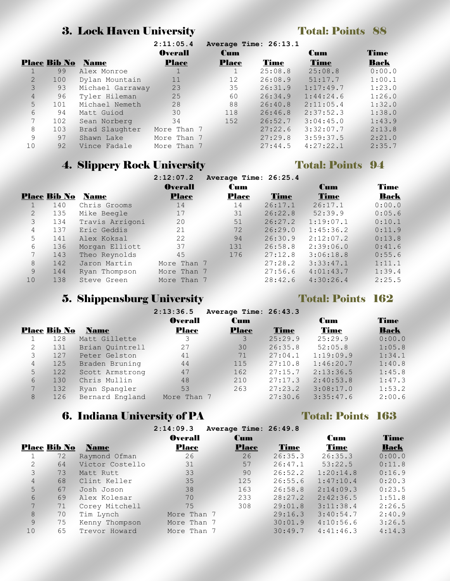### **3. Lock Haven University Total: Points 88**

|                |                     |                  | 2:11:05.4      |              | Average Time: 26:13.1 |            |             |
|----------------|---------------------|------------------|----------------|--------------|-----------------------|------------|-------------|
|                |                     |                  | <b>Overall</b> | <b>Cum</b>   |                       | <b>Cum</b> | <b>Time</b> |
|                | <b>Place Bib No</b> | <b>Name</b>      | <b>Place</b>   | <b>Place</b> | Time                  | Time       | Back        |
|                | 99                  | Alex Monroe      |                |              | 25:08.8               | 25:08.8    | 0:00.0      |
| $\overline{2}$ | 100                 | Dylan Mountain   | 11             | 12           | 26:08.9               | 51:17.7    | 1:00.1      |
| 3              | 93                  | Michael Garraway | 23             | 35           | 26:31.9               | 1:17:49.7  | 1:23.0      |
| 4              | 96                  | Tyler Hileman    | 25             | 60           | 26:34.9               | 1:44:24.6  | 1:26.0      |
| 5              | 101                 | Michael Nemeth   | 28             | 88           | 26:40.8               | 2:11:05.4  | 1:32.0      |
| 6              | 94                  | Matt Guiod       | 30             | 118          | 26:46.8               | 2:37:52.3  | 1:38.0      |
| 7              | 102                 | Sean Norberg     | 34             | 152          | 26:52.7               | 3:04:45.0  | 1:43.9      |
| 8              | 103                 | Brad Slaughter   | More Than 7    |              | 27:22.6               | 3:32:07.7  | 2:13.8      |
| 9              | 97                  | Shawn Lake       | More Than 7    |              | 27:29.8               | 3:59:37.5  | 2:21.0      |
| 10             | 92                  | Vince Fadale     | More Than 7    |              | 27:44.5               | 4:27:22.1  | 2:35.7      |

# **4. Slippery Rock University Total: Points 94**

|                |                     |                 | 2:12:07.2      | Average Time: 26:25.4 |         |            |             |
|----------------|---------------------|-----------------|----------------|-----------------------|---------|------------|-------------|
|                |                     |                 | <b>Overall</b> | <b>Cum</b>            |         | <b>Cum</b> | <b>Time</b> |
|                | <b>Place Bib No</b> | <b>Name</b>     | <b>Place</b>   | <b>Place</b>          | Time    | Time       | Back        |
|                | 140                 | Chris Grooms    | 14             | 14                    | 26:17.1 | 26:17.1    | 0:00.0      |
| $\overline{2}$ | 135                 | Mike Beegle     | 17             | 31                    | 26:22.8 | 52:39.9    | 0:05.6      |
| 3              | 134                 | Travis Arrigoni | 20             | 51                    | 26:27.2 | 1:19:07.1  | 0:10.1      |
| 4              | 137                 | Eric Geddis     | 21             | 72                    | 26:29.0 | 1:45:36.2  | 0:11.9      |
| 5              | 141                 | Alex Koksal     | 22             | 94                    | 26:30.9 | 2:12:07.2  | 0:13.8      |
| 6              | 136                 | Morgan Elliott  | 37             | 131                   | 26:58.8 | 2:39:06.0  | 0:41.6      |
| 7              | 143                 | Theo Reynolds   | 45             | 176                   | 27:12.8 | 3:06:18.8  | 0:55.6      |
| 8              | 142                 | Jaron Martin    | More Than 7    |                       | 27:28.2 | 3:33:47.1  | 1:11.1      |
| 9              | 144                 | Ryan Thompson   | More Than 7    |                       | 27:56.6 | 4:01:43.7  | 1:39.4      |
| 10             | 138                 | Steve Green     | More Than 7    |                       | 28:42.6 | 4:30:26.4  | 2:25.5      |

# 5. Shippensburg University Total: Points 162

|   |                     |                 | 2:13:36.5      | Average Time: 26:43.3 |         |             |             |
|---|---------------------|-----------------|----------------|-----------------------|---------|-------------|-------------|
|   |                     |                 | <b>Overall</b> | <b>Cum</b>            |         | Cum         | <b>Time</b> |
|   | <b>Place Bib No</b> | <b>Name</b>     | <b>Place</b>   | <b>Place</b>          | Time    | <b>Time</b> | <b>Back</b> |
|   | 128                 | Matt Gillette   | 3              | 3                     | 25:29.9 | 25:29.9     | 0:00.0      |
| 2 | 131                 | Brian Ouintrell | 27             | 30                    | 26:35.8 | 52:05.8     | 1:05.8      |
| 3 | 127                 | Peter Gelston   | 41             | 71                    | 27:04.1 | 1:19:09.9   | 1:34.1      |
| 4 | 125                 | Braden Bruning  | 44             | 115                   | 27:10.8 | 1:46:20.7   | 1:40.8      |
| 5 | 122                 | Scott Armstrong | 47             | 162                   | 27:15.7 | 2:13:36.5   | 1:45.8      |
| 6 | 130                 | Chris Mullin    | 48             | 210                   | 27:17.3 | 2:40:53.8   | 1:47.3      |
| 7 | 132                 | Ryan Spangler   | 53             | 263                   | 27:23.2 | 3:08:17.0   | 1:53.2      |
| 8 | 126                 | Bernard England | More Than 7    |                       | 27:30.6 | 3:35:47.6   | 2:00.6      |

# 6. Indiana University of PA Total: Points 163

|                     |    |                 | 2:14:09.3      | Average Time: 26:49.8 |             |            |             |
|---------------------|----|-----------------|----------------|-----------------------|-------------|------------|-------------|
|                     |    |                 | <b>Overall</b> | <b>Cum</b>            |             | <b>Cum</b> | Time        |
| <b>Place Bib No</b> |    | <b>Name</b>     | <b>Place</b>   | <b>Place</b>          | <b>Time</b> | Time       | <b>Back</b> |
|                     | 72 | Raymond Ofman   | 26             | 26                    | 26:35.3     | 26:35.3    | 0:00.0      |
| $\overline{2}$      | 64 | Victor Costello | 31             | 57                    | 26:47.1     | 53:22.5    | 0:11.8      |
| 3                   | 73 | Matt Rutt       | 33             | 90                    | 26:52.2     | 1:20:14.8  | 0:16.9      |
| 4                   | 68 | Clint Keller    | 35             | 125                   | 26:55.6     | 1:47:10.4  | 0:20.3      |
| 5                   | 67 | Josh Joson      | 38             | 163                   | 26:58.8     | 2:14:09.3  | 0:23.5      |
| 6                   | 69 | Alex Kolesar    | 70             | 233                   | 28:27.2     | 2:42:36.5  | 1:51.8      |
| 7                   | 71 | Corey Mitchell  | 75             | 308                   | 29:01.8     | 3:11:38.4  | 2:26.5      |
| 8                   | 70 | Tim Lynch       | More Than 7    |                       | 29:16.3     | 3:40:54.7  | 2:40.9      |
| 9                   | 75 | Kenny Thompson  | More Than 7    |                       | 30:01.9     | 4:10:56.6  | 3:26.5      |
| 10                  | 65 | Trevor Howard   | More Than 7    |                       | 30:49.7     | 4:41:46.3  | 4:14.3      |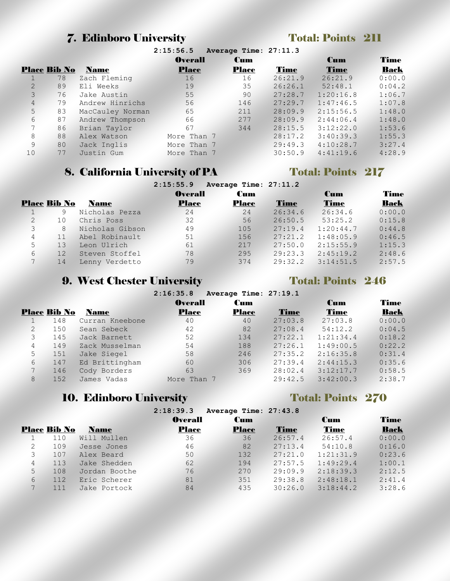### **7. Edinboro University Total: Points 211**

|                                    |    |                  | <b>Overall</b> | <b>Cum</b> |         | Cum       | Time   |
|------------------------------------|----|------------------|----------------|------------|---------|-----------|--------|
| <b>Place Bib No</b><br><b>Name</b> |    | <b>Place</b>     | <b>Place</b>   | Time       | Time    | Back      |        |
|                                    | 78 | Zach Fleming     | 16             | 16         | 26:21.9 | 26:21.9   | 0:00.0 |
|                                    | 89 | Eli Weeks        | 19             | 35         | 26:26.1 | 52:48.1   | 0:04.2 |
|                                    | 76 | Jake Austin      | 55             | 90         | 27:28.7 | 1:20:16.8 | 1:06.7 |
| 4                                  | 79 | Andrew Hinrichs  | 56             | 146        | 27:29.7 | 1:47:46.5 | 1:07.8 |
| 5                                  | 83 | MacCauley Norman | 65             | 211        | 28:09.9 | 2:15:56.5 | 1:48.0 |
| 6                                  | 87 | Andrew Thompson  | 66             | 277        | 28:09.9 | 2:44:06.4 | 1:48.0 |
|                                    | 86 | Brian Taylor     | 67             | 344        | 28:15.5 | 3:12:22.0 | 1:53.6 |
| 8                                  | 88 | Alex Watson      | More Than 7    |            | 28:17.2 | 3:40:39.3 | 1:55.3 |
| 9                                  | 80 | Jack Inglis      | More Than 7    |            | 29:49.3 | 4:10:28.7 | 3:27.4 |
| 10                                 | 77 | Justin Gum       | More Than 7    |            | 30:50.9 | 4:41:19.6 | 4:28.9 |
|                                    |    |                  |                |            |         |           |        |

**2:15:56.5 Average Time: 27:11.3**

### 8. California University of PA Total: Points 217

|                |                     |                 | 2:15:55.9      | Average Time: 27:11.2 |         |             |             |
|----------------|---------------------|-----------------|----------------|-----------------------|---------|-------------|-------------|
|                |                     |                 | <b>Overall</b> | Cum                   |         | Cum         | Time        |
|                | <b>Place Bib No</b> | <b>Name</b>     | <b>Place</b>   | <b>Place</b>          | Time    | <b>Time</b> | <b>Back</b> |
|                | 9                   | Nicholas Pezza  | 24             | 24                    | 26:34.6 | 26:34.6     | 0:00.0      |
| $\overline{2}$ | 10                  | Chris Poss      | 32             | 56                    | 26:50.5 | 53:25.2     | 0:15.8      |
| 3              | 8                   | Nicholas Gibson | 49             | 105                   | 27:19.4 | 1:20:44.7   | 0:44.8      |
| 4              | 11                  | Abel Robinault  | 51             | 156                   | 27:21.2 | 1:48:05.9   | 0:46.5      |
| 5              | 13                  | Leon Ulrich     | 61             | 217                   | 27:50.0 | 2:15:55.9   | 1:15.3      |
| 6              | 12                  | Steven Stoffel  | 78             | 295                   | 29:23.3 | 2:45:19.2   | 2:48.6      |
|                | 14                  | Lenny Verdetto  | 79             | 374                   | 29:32.2 | 3:14:51.5   | 2:57.5      |

### 9. West Chester University Total: Points 246

|                |                     |                 | 2:16:35.8      | Average Time: 27:19.1 |         |             |        |
|----------------|---------------------|-----------------|----------------|-----------------------|---------|-------------|--------|
|                |                     |                 | <b>Overall</b> | Cum                   |         | Cum         | Time   |
|                | <b>Place Bib No</b> | <b>Name</b>     | <b>Place</b>   | Place                 | Time    | <b>Time</b> | Back   |
|                | 148                 | Curran Kneebone | 40             | 40                    | 27:03.8 | 27:03.8     | 0:00.0 |
| $\overline{2}$ | 150                 | Sean Sebeck     | 42             | 82                    | 27:08.4 | 54:12.2     | 0:04.5 |
| 3              | 145                 | Jack Barnett    | 52             | 134                   | 27:22.1 | 1:21:34.4   | 0:18.2 |
| 4              | 149                 | Zack Musselman  | 54             | 188                   | 27:26.1 | 1:49:00.5   | 0:22.2 |
| 5              | 151                 | Jake Siegel     | 58             | 246                   | 27:35.2 | 2:16:35.8   | 0:31.4 |
| 6              | 147                 | Ed Brittingham  | 60             | 306                   | 27:39.4 | 2:44:15.3   | 0:35.6 |
| 7              | 146                 | Cody Borders    | 63             | 369                   | 28:02.4 | 3:12:17.7   | 0:58.5 |
| 8              | 152                 | James Vadas     | More Than 7    |                       | 29:42.5 | 3:42:00.3   | 2:38.7 |

### 10. Edinboro University Total: Points 270

|                |                     |               | 2:18:39.3<br>Average Time: 27:43.8 |              |             |            |             |
|----------------|---------------------|---------------|------------------------------------|--------------|-------------|------------|-------------|
|                |                     |               | <b>Overall</b>                     | <b>Cum</b>   |             | <b>Cum</b> | <b>Time</b> |
|                | <b>Place Bib No</b> | <b>Name</b>   | <b>Place</b>                       | <b>Place</b> | <b>Time</b> | Time       | <b>Back</b> |
|                | 110                 | Will Mullen   | 36                                 | 36           | 26:57.4     | 26:57.4    | 0:00.0      |
| $\overline{2}$ | 109                 | Jesse Jones   | 46                                 | 82           | 27:13.4     | 54:10.8    | 0:16.0      |
| 3              | 107                 | Alex Beard    | 50                                 | 132          | 27:21.0     | 1:21:31.9  | 0:23.6      |
| 4              | 113                 | Jake Shedden  | 62                                 | 194          | 27:57.5     | 1:49:29.4  | 1:00.1      |
| 5              | 108                 | Jordan Boothe | 76                                 | 270          | 29:09.9     | 2:18:39.3  | 2:12.5      |
| 6              | 112                 | Eric Scherer  | 81                                 | 351          | 29:38.8     | 2:48:18.1  | 2:41.4      |
| 7              | 111                 | Jake Portock  | 84                                 | 435          | 30:26.0     | 3:18:44.2  | 3:28.6      |